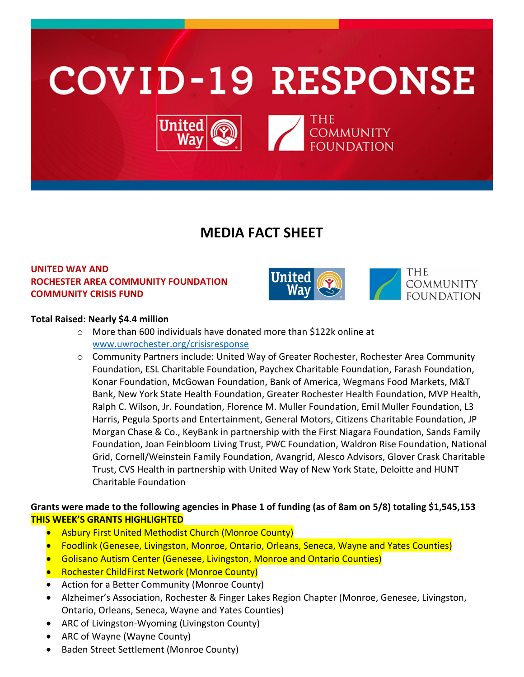

# **MEDIA FACT SHEET**

## **UNITED WAY AND ROCHESTER AREA COMMUNITY FOUNDATION COMMUNITY CRISIS FUND**



THE **COMMUNITY FOUNDATION** 

#### **Total Raised: Nearly \$4.4 million**

- o More than 600 individuals have donated more than \$122k online at [www.uwrochester.org/crisisresponse](http://www.uwrochester.org/crisisresponse)
- o Community Partners include: United Way of Greater Rochester, Rochester Area Community Foundation, ESL Charitable Foundation, Paychex Charitable Foundation, Farash Foundation, Konar Foundation, McGowan Foundation, Bank of America, Wegmans Food Markets, M&T Bank, New York State Health Foundation, Greater Rochester Health Foundation, MVP Health, Ralph C. Wilson, Jr. Foundation, Florence M. Muller Foundation, Emil Muller Foundation, L3 Harris, Pegula Sports and Entertainment, General Motors, Citizens Charitable Foundation, JP Morgan Chase & Co., KeyBank in partnership with the First Niagara Foundation, Sands Family Foundation, Joan Feinbloom Living Trust, PWC Foundation, Waldron Rise Foundation, National Grid, Cornell/Weinstein Family Foundation, Avangrid, Alesco Advisors, Glover Crask Charitable Trust, CVS Health in partnership with United Way of New York State, Deloitte and HUNT Charitable Foundation

## **Grants were made to the following agencies in Phase 1 of funding (as of 8am on 5/8) totaling \$1,545,153 THIS WEEK'S GRANTS HIGHLIGHTED**

- Asbury First United Methodist Church (Monroe County)
- Foodlink (Genesee, Livingston, Monroe, Ontario, Orleans, Seneca, Wayne and Yates Counties)
- Golisano Autism Center (Genesee, Livingston, Monroe and Ontario Counties)
- Rochester ChildFirst Network (Monroe County)
- Action for a Better Community (Monroe County)
- Alzheimer's Association, Rochester & Finger Lakes Region Chapter (Monroe, Genesee, Livingston, Ontario, Orleans, Seneca, Wayne and Yates Counties)
- ARC of Livingston-Wyoming (Livingston County)
- ARC of Wayne (Wayne County)
- Baden Street Settlement (Monroe County)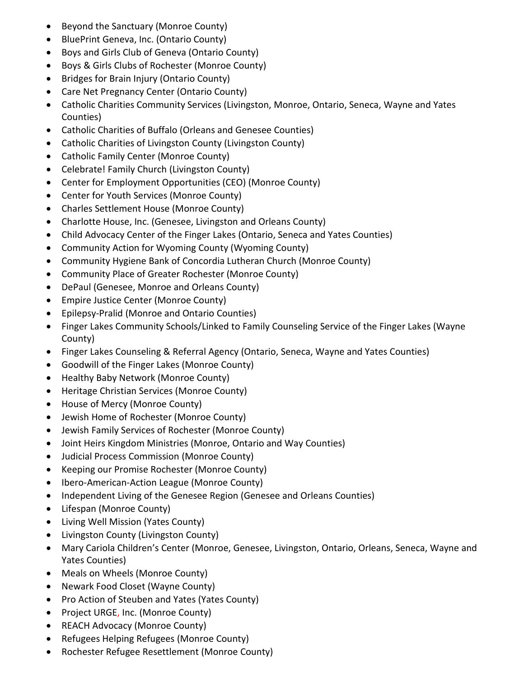- Beyond the Sanctuary (Monroe County)
- BluePrint Geneva, Inc. (Ontario County)
- Boys and Girls Club of Geneva (Ontario County)
- Boys & Girls Clubs of Rochester (Monroe County)
- Bridges for Brain Injury (Ontario County)
- Care Net Pregnancy Center (Ontario County)
- Catholic Charities Community Services (Livingston, Monroe, Ontario, Seneca, Wayne and Yates Counties)
- Catholic Charities of Buffalo (Orleans and Genesee Counties)
- Catholic Charities of Livingston County (Livingston County)
- Catholic Family Center (Monroe County)
- Celebrate! Family Church (Livingston County)
- Center for Employment Opportunities (CEO) (Monroe County)
- Center for Youth Services (Monroe County)
- Charles Settlement House (Monroe County)
- Charlotte House, Inc. (Genesee, Livingston and Orleans County)
- Child Advocacy Center of the Finger Lakes (Ontario, Seneca and Yates Counties)
- Community Action for Wyoming County (Wyoming County)
- Community Hygiene Bank of Concordia Lutheran Church (Monroe County)
- Community Place of Greater Rochester (Monroe County)
- DePaul (Genesee, Monroe and Orleans County)
- Empire Justice Center (Monroe County)
- Epilepsy-Pralid (Monroe and Ontario Counties)
- Finger Lakes Community Schools/Linked to Family Counseling Service of the Finger Lakes (Wayne County)
- Finger Lakes Counseling & Referral Agency (Ontario, Seneca, Wayne and Yates Counties)
- Goodwill of the Finger Lakes (Monroe County)
- Healthy Baby Network (Monroe County)
- Heritage Christian Services (Monroe County)
- House of Mercy (Monroe County)
- Jewish Home of Rochester (Monroe County)
- Jewish Family Services of Rochester (Monroe County)
- Joint Heirs Kingdom Ministries (Monroe, Ontario and Way Counties)
- Judicial Process Commission (Monroe County)
- Keeping our Promise Rochester (Monroe County)
- Ibero-American-Action League (Monroe County)
- Independent Living of the Genesee Region (Genesee and Orleans Counties)
- Lifespan (Monroe County)
- Living Well Mission (Yates County)
- Livingston County (Livingston County)
- Mary Cariola Children's Center (Monroe, Genesee, Livingston, Ontario, Orleans, Seneca, Wayne and Yates Counties)
- Meals on Wheels (Monroe County)
- Newark Food Closet (Wayne County)
- Pro Action of Steuben and Yates (Yates County)
- Project URGE, Inc. (Monroe County)
- REACH Advocacy (Monroe County)
- Refugees Helping Refugees (Monroe County)
- Rochester Refugee Resettlement (Monroe County)